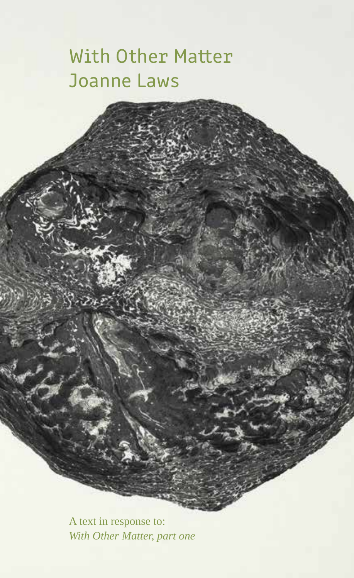## With Other Matter Joanne Laws

A text in response to: *With Other Matter, part one*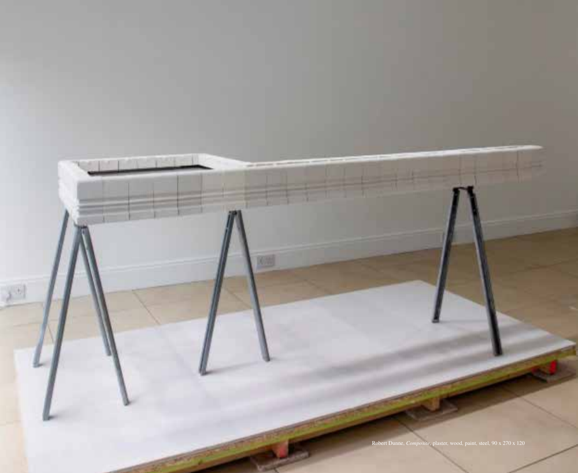Robert Dunne, *Composite*, plaster, wood, paint, steel, 90 x 270 x 120

**TELESCOP**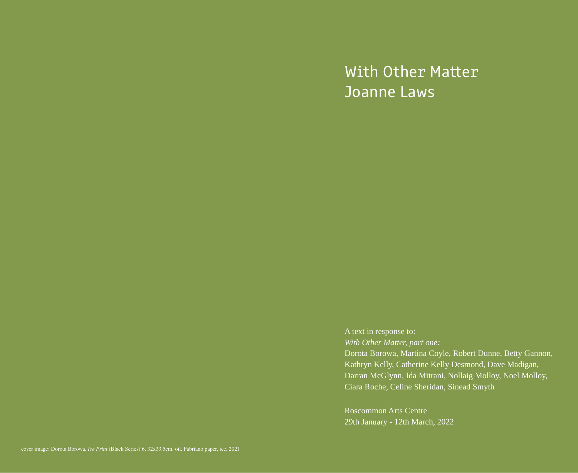# With Other Matter Joanne Laws

A text in response to: *With Other Matter, part one:* Dorota Borowa, Martina Coyle, Robert Dunne, Betty Gannon, Kathryn Kelly, Catherine Kelly Desmond, Dave Madigan, Darran McGlynn, Ida Mitrani, Nollaig Molloy, Noel Molloy, Ciara Roche, Celine Sheridan, Sinead Smyth

Roscommon Arts Centre 29th January - 12th March, 2022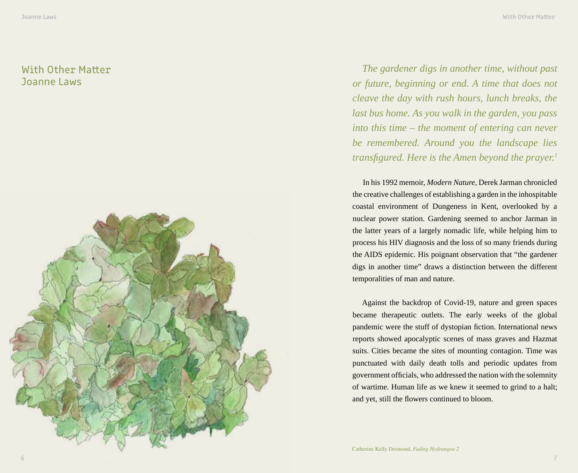### With Other Matter Joanne Laws



*The gardener digs in another time, without past or future, beginning or end. A time that does not cleave the day with rush hours, lunch breaks, the last bus home. As you walk in the garden, you pass into this time – the moment of entering can never be remembered. Around you the landscape lies transfigured. Here is the Amen beyond the prayer.<sup>1</sup>*

In his 1992 memoir, *Modern Nature*, Derek Jarman chronicled the creative challenges of establishing a garden in the inhospitable coastal environment of Dungeness in Kent, overlooked by a nuclear power station. Gardening seemed to anchor Jarman in the latter years of a largely nomadic life, while helping him to process his HIV diagnosis and the loss of so many friends during the AIDS epidemic. His poignant observation that "the gardener digs in another time" draws a distinction between the different temporalities of man and nature.

Against the backdrop of Covid-19, nature and green spaces became therapeutic outlets. The early weeks of the global pandemic were the stuff of dystopian fiction. International news reports showed apocalyptic scenes of mass graves and Hazmat suits. Cities became the sites of mounting contagion. Time was punctuated with daily death tolls and periodic updates from government officials, who addressed the nation with the solemnity of wartime. Human life as we knew it seemed to grind to a halt; and yet, still the flowers continued to bloom.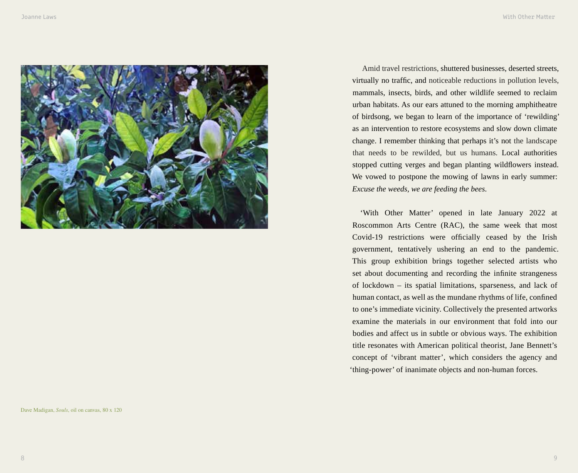

Amid travel restrictions, shuttered businesses, deserted streets, virtually no traffic, and noticeable reductions in pollution levels, mammals, insects, birds, and other wildlife seemed to reclaim urban habitats. As our ears attuned to the morning amphitheatre of birdsong, we began to learn of the importance of 'rewilding' as an intervention to restore ecosystems and slow down climate change. I remember thinking that perhaps it's not the landscape that needs to be rewilded, but us humans. Local authorities stopped cutting verges and began planting wildflowers instead. We vowed to postpone the mowing of lawns in early summer: *Excuse the weeds, we are feeding the bees*.

'With Other Matter' opened in late January 2022 at Roscommon Arts Centre (RAC), the same week that most Covid-19 restrictions were officially ceased by the Irish government, tentatively ushering an end to the pandemic. This group exhibition brings together selected artists who set about documenting and recording the infinite strangeness of lockdown – its spatial limitations, sparseness, and lack of human contact, as well as the mundane rhythms of life, confined to one's immediate vicinity. Collectively the presented artworks examine the materials in our environment that fold into our bodies and affect us in subtle or obvious ways. The exhibition title resonates with American political theorist, Jane Bennett's concept of 'vibrant matter', which considers the agency and 'thing-power' of inanimate objects and non-human forces.

Dave Madigan, *Souls*, oil on canvas, 80 x 120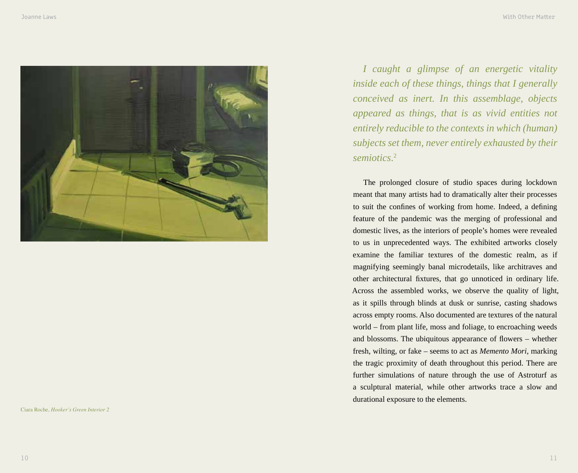

Ciara Roche, *Hooker's Green Interior 2*

*I caught a glimpse of an energetic vitality inside each of these things, things that I generally conceived as inert. In this assemblage, objects appeared as things, that is as vivid entities not entirely reducible to the contexts in which (human) subjects set them, never entirely exhausted by their semiotics*. 2

The prolonged closure of studio spaces during lockdown meant that many artists had to dramatically alter their processes to suit the confines of working from home. Indeed, a defining feature of the pandemic was the merging of professional and domestic lives, as the interiors of people's homes were revealed to us in unprecedented ways. The exhibited artworks closely examine the familiar textures of the domestic realm, as if magnifying seemingly banal microdetails, like architraves and other architectural fixtures, that go unnoticed in ordinary life. Across the assembled works, we observe the quality of light, as it spills through blinds at dusk or sunrise, casting shadows across empty rooms. Also documented are textures of the natural world – from plant life, moss and foliage, to encroaching weeds and blossoms. The ubiquitous appearance of flowers – whether fresh, wilting, or fake – seems to act as *Memento Mori*, marking the tragic proximity of death throughout this period. There are further simulations of nature through the use of Astroturf as a sculptural material, while other artworks trace a slow and durational exposure to the elements.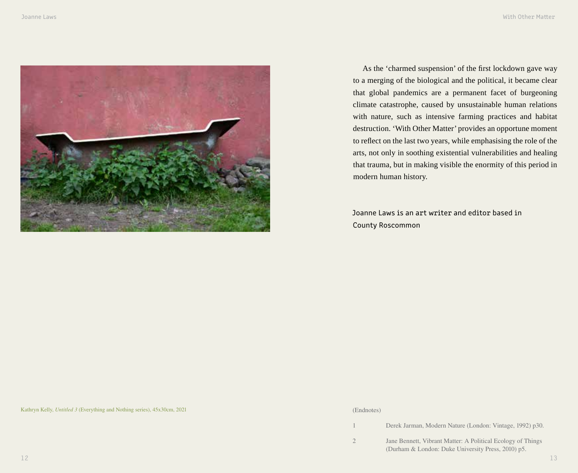

As the 'charmed suspension' of the first lockdown gave way to a merging of the biological and the political, it became clear that global pandemics are a permanent facet of burgeoning climate catastrophe, caused by unsustainable human relations with nature, such as intensive farming practices and habitat destruction. 'With Other Matter' provides an opportune moment to reflect on the last two years, while emphasising the role of the arts, not only in soothing existential vulnerabilities and healing that trauma, but in making visible the enormity of this period in modern human history.

Joanne Laws is an art writer and editor based in County Roscommon

Kathryn Kelly, *Untitled 3* (Everything and Nothing series), 45x30cm, 2021

#### (Endnotes)

1 Derek Jarman, Modern Nature (London: Vintage, 1992) p30.

2 Jane Bennett, Vibrant Matter: A Political Ecology of Things (Durham & London: Duke University Press, 2010) p5.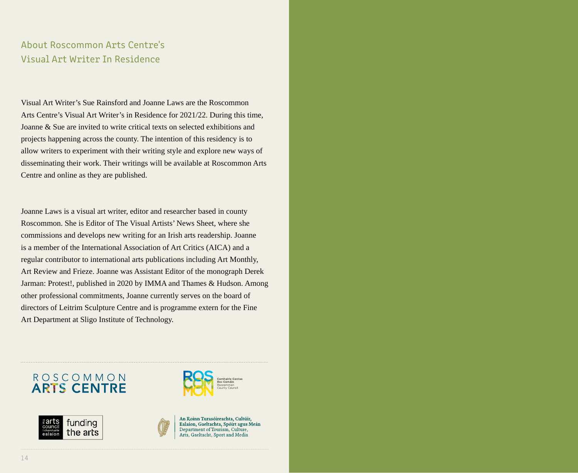## About Roscommon Arts Centre's Visual Art Writer In Residence

Visual Art Writer's Sue Rainsford and Joanne Laws are the Roscommon Arts Centre's Visual Art Writer's in Residence for 2021/22. During this time, Joanne & Sue are invited to write critical texts on selected exhibitions and projects happening across the county. The intention of this residency is to allow writers to experiment with their writing style and explore new ways of disseminating their work. Their writings will be available at Roscommon Arts Centre and online as they are published.

Joanne Laws is a visual art writer, editor and researcher based in county Roscommon. She is Editor of The Visual Artists' News Sheet, where she commissions and develops new writing for an Irish arts readership. Joanne is a member of the International Association of Art Critics (AICA) and a regular contributor to international arts publications including Art Monthly, Art Review and Frieze. Joanne was Assistant Editor of the monograph Derek Jarman: Protest!, published in 2020 by IMMA and Thames & Hudson. Among other professional commitments, Joanne currently serves on the board of directors of Leitrim Sculpture Centre and is programme extern for the Fine Art Department at Sligo Institute of Technology.

## ROSCOMMON **ARTS CENTRE**







An Roinn Turasóireachta, Cultúir, Ealaíon, Gaeltachta, Spóirt agus Meán Department of Tourism, Culture, Arts, Gaeltacht, Sport and Media